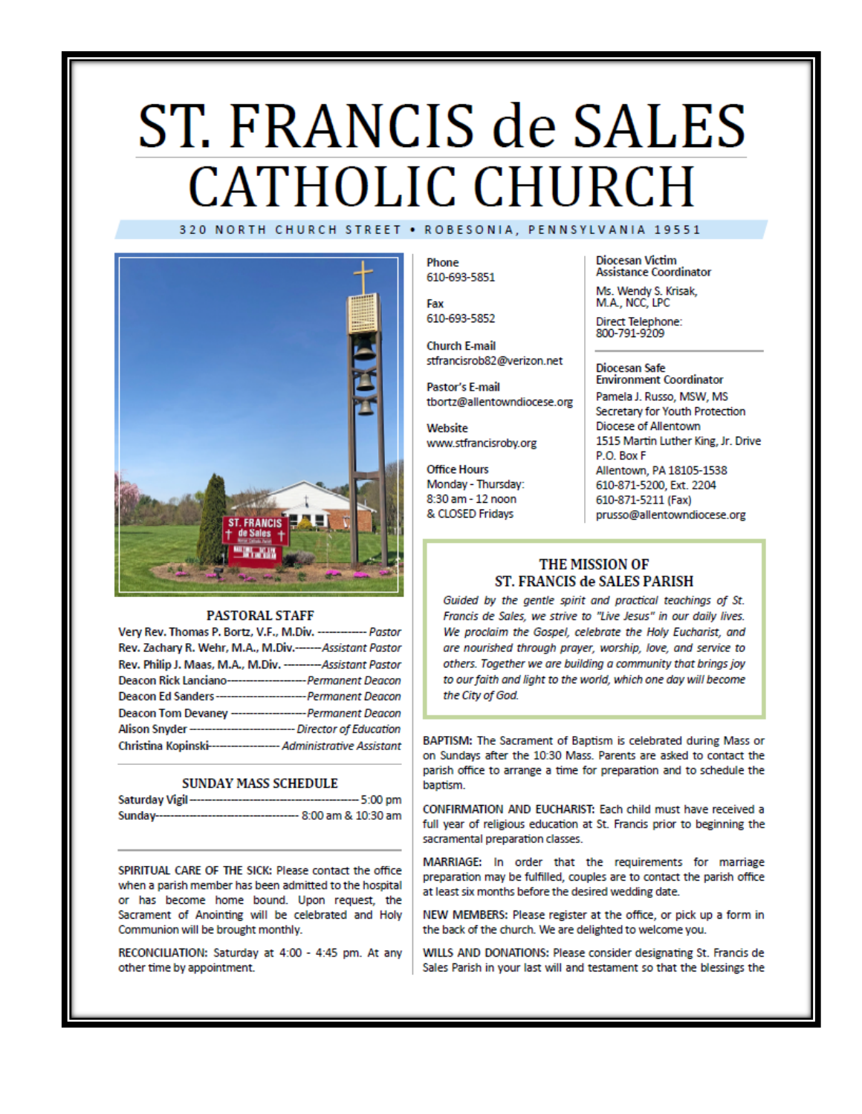# ST. FRANCIS de SALES **CATHOLIC CHURCH** 320 NORTH CHURCH STREET . ROBESONIA, PENNSYLVANIA 19551



#### **PASTORAL STAFF**

| Very Rev. Thomas P. Bortz, V.F., M.Div. ------------- Pastor        |  |
|---------------------------------------------------------------------|--|
| Rev. Zachary R. Wehr, M.A., M.Div.------Assistant Pastor            |  |
| Rev. Philip J. Maas, M.A., M.Div. --------- Assistant Pastor        |  |
| Deacon Rick Lanciano----------------------- Permanent Deacon        |  |
| Deacon Ed Sanders---------------------------- Permanent Deacon      |  |
| Deacon Tom Devaney --------------------- Permanent Deacon           |  |
| Alison Snyder ------------------------------- Director of Education |  |
| Christina Kopinski------------------- Administrative Assistant      |  |

#### **SUNDAY MASS SCHEDULE**

| Saturday Vigil-<br>------------------------ | ---- 5:00 pm           |
|---------------------------------------------|------------------------|
| Sunday--------------------------            | --- 8:00 am & 10:30 am |

SPIRITUAL CARE OF THE SICK: Please contact the office when a parish member has been admitted to the hospital or has become home bound. Upon request, the Sacrament of Anointing will be celebrated and Holy Communion will be brought monthly.

RECONCILIATION: Saturday at 4:00 - 4:45 pm. At any other time by appointment.

Phone 610-693-5851

Fax 610-693-5852

**Church E-mail** stfrancisrob82@verizon.net

Pastor's E-mail tbortz@allentowndiocese.org

Website www.stfrancisroby.org

**Office Hours** Monday - Thursday: 8:30 am - 12 noon & CLOSED Fridays

**Diocesan Victim Assistance Coordinator** 

Ms. Wendy S. Krisak, M.A., NCC, LPC

Direct Telephone:<br>800-791-9209

#### **Diocesan Safe Environment Coordinator**

Pamela J. Russo, MSW, MS Secretary for Youth Protection Diocese of Allentown 1515 Martin Luther King, Jr. Drive P.O. Box F Allentown, PA 18105-1538 610-871-5200, Ext. 2204 610-871-5211 (Fax) prusso@allentowndiocese.org

#### THE MISSION OF ST. FRANCIS de SALES PARISH

Guided by the gentle spirit and practical teachings of St. Francis de Sales, we strive to "Live Jesus" in our daily lives. We proclaim the Gospel, celebrate the Holy Eucharist, and are nourished through prayer, worship, love, and service to others. Together we are building a community that brings joy to our faith and light to the world, which one day will become the City of God.

BAPTISM: The Sacrament of Baptism is celebrated during Mass or on Sundays after the 10:30 Mass. Parents are asked to contact the parish office to arrange a time for preparation and to schedule the baptism.

CONFIRMATION AND EUCHARIST: Each child must have received a full year of religious education at St. Francis prior to beginning the sacramental preparation classes.

MARRIAGE: In order that the requirements for marriage preparation may be fulfilled, couples are to contact the parish office at least six months before the desired wedding date.

NEW MEMBERS: Please register at the office, or pick up a form in the back of the church. We are delighted to welcome you.

WILLS AND DONATIONS: Please consider designating St. Francis de Sales Parish in your last will and testament so that the blessings the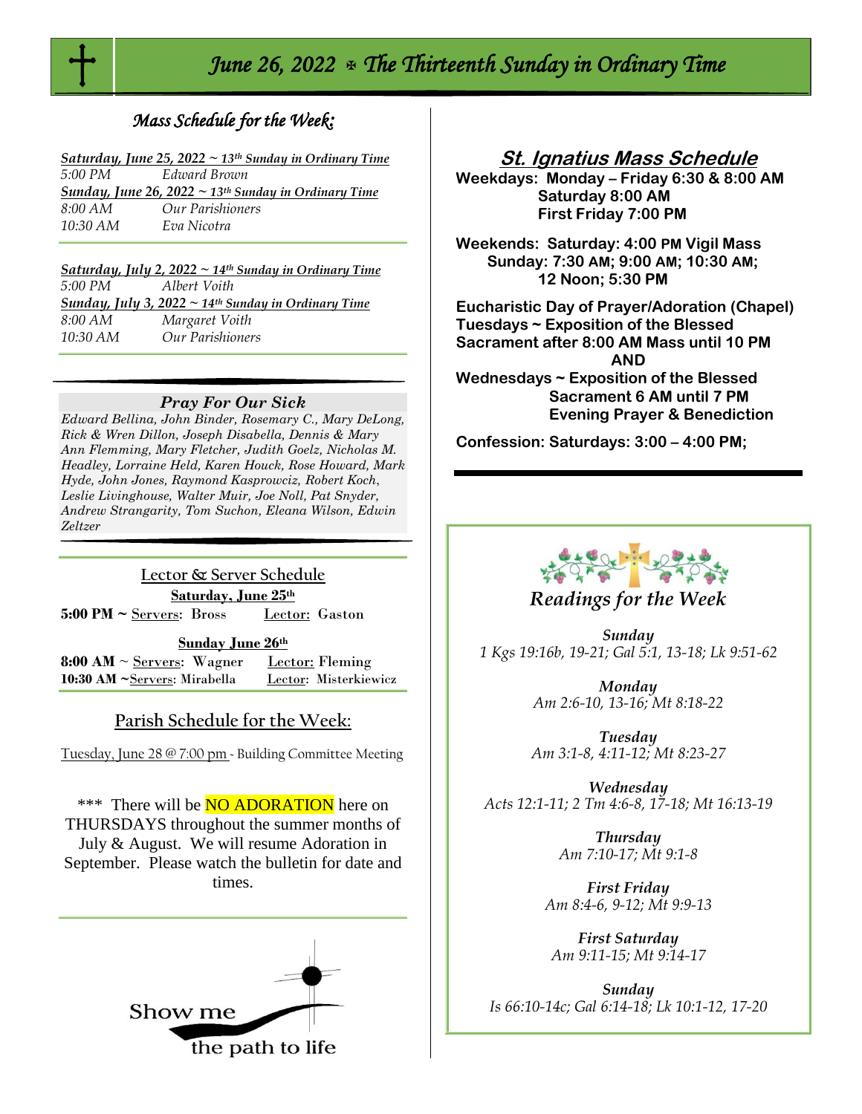

# *June 26, 2022 The Thirteenth Sunday in Ordinary Time*

## *Mass Schedule for the Week:*

|                    | Saturday, June 25, 2022 $\sim$ 13 <sup>th</sup> Sunday in Ordinary Time |
|--------------------|-------------------------------------------------------------------------|
| 5:00 PM            | Edward Brown                                                            |
|                    | <b>Sunday, June 26, 2022</b> ~ 13 <sup>th</sup> Sunday in Ordinary Time |
| 8:00 AM            | Our Parishioners                                                        |
| $10:30 \text{ AM}$ | Eva Nicotra                                                             |
|                    |                                                                         |

|            | Saturday, July 2, 2022 $\sim$ 14 <sup>th</sup> Sunday in Ordinary Time |
|------------|------------------------------------------------------------------------|
| 5:00 PM    | Albert Voith                                                           |
|            | Sunday, July 3, $2022 \sim 14$ <sup>th</sup> Sunday in Ordinary Time   |
| 8:00 AM    | Margaret Voith                                                         |
| $10:30$ AM | Our Parishioners                                                       |

#### *Pray For Our Sick*

*Edward Bellina, John Binder, Rosemary C., Mary DeLong, Rick & Wren Dillon, Joseph Disabella, Dennis & Mary Ann Flemming, Mary Fletcher, Judith Goelz, Nicholas M. Headley, Lorraine Held, Karen Houck, Rose Howard, Mark Hyde, John Jones, Raymond Kasprowciz, Robert Koch*, *Leslie Livinghouse, Walter Muir, Joe Noll, Pat Snyder, Andrew Strangarity, Tom Suchon, Eleana Wilson, Edwin Zeltzer*

## **Lector & Server Schedule Saturday, June 25th**

**5:00 PM ~** Servers: Bross Lector: Gaston

#### **Sunday June 26th**

**8:00 AM**  $\sim$  <u>Servers</u>: Wagner Lector: Fleming **10:30 AM ~**Servers: Mirabella Lector: Misterkiewicz

## **Parish Schedule for the Week:**

Tuesday, June 28 @ 7:00 pm ~ Building Committee Meeting

\*\*\* There will be **NO ADORATION** here on THURSDAYS throughout the summer months of July & August. We will resume Adoration in September. Please watch the bulletin for date and times.



## **St. Ignatius Mass Schedule**

**Weekdays: Monday – Friday 6:30 & 8:00 AM Saturday 8:00 AM First Friday 7:00 PM** 

**Weekends: Saturday: 4:00 PM Vigil Mass Sunday: 7:30 AM; 9:00 AM; 10:30 AM; 12 Noon; 5:30 PM** 

**Eucharistic Day of Prayer/Adoration (Chapel) Tuesdays ~ Exposition of the Blessed Sacrament after 8:00 AM Mass until 10 PM AND Wednesdays ~ Exposition of the Blessed Sacrament 6 AM until 7 PM** 

 **Evening Prayer & Benediction**

**Confession: Saturdays: 3:00 – 4:00 PM;** 



## *Readings for the Week*

*Sunday 1 Kgs 19:16b, 19-21; Gal 5:1, 13-18; Lk 9:51-62*

> *Monday Am 2:6-10, 13-16; Mt 8:18-22*

*Tuesday Am 3:1-8, 4:11-12; Mt 8:23-27*

*Wednesday Acts 12:1-11; 2 Tm 4:6-8, 17-18; Mt 16:13-19*

> *Thursday Am 7:10-17; Mt 9:1-8*

*First Friday Am 8:4-6, 9-12; Mt 9:9-13*

*First Saturday Am 9:11-15; Mt 9:14-17*

*Sunday Is 66:10-14c; Gal 6:14-18; Lk 10:1-12, 17-20*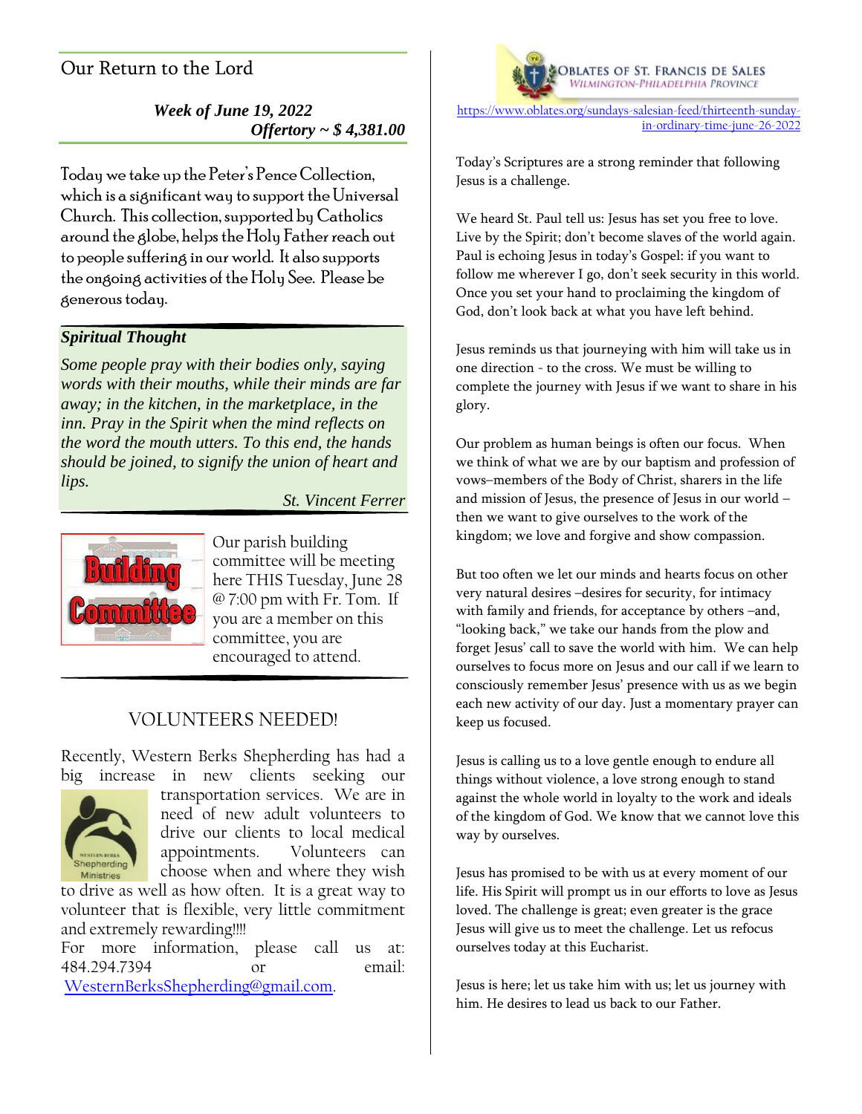# Our Return to the Lord

## *Week of June 19, 2022 Offertory ~ \$ 4,381.00*

Today we take up the Peter's Pence Collection, which is a significant way to support the Universal Church. This collection, supported by Catholics around the globe, helps the Holy Father reach out to people suffering in our world. It also supports the ongoing activities of the Holy See. Please be generous today.

# *Spiritual Thought*

*Some people pray with their bodies only, saying words with their mouths, while their minds are far away; in the kitchen, in the marketplace, in the inn. Pray in the Spirit when the mind reflects on the word the mouth utters. To this end, the hands should be joined, to signify the union of heart and lips.*

### *St. Vincent Ferrer*



Our parish building committee will be meeting here THIS Tuesday, June 28 @ 7:00 pm with Fr. Tom. If you are a member on this committee, you are encouraged to attend.

## VOLUNTEERS NEEDED!

Recently, Western Berks Shepherding has had a big increase in new clients seeking our



transportation services. We are in need of new adult volunteers to drive our clients to local medical appointments. Volunteers can choose when and where they wish

to drive as well as how often. It is a great way to volunteer that is flexible, very little commitment and extremely rewarding!!!!

For more information, please call us at: 484.294.7394 or email: [WesternBerksShepherding@gmail.com.](mailto:WesternBerksShepherding@gmail.com)



**OBLATES OF ST. FRANCIS DE SALES**<br>WILMINGTON-PHILADELPHIA PROVINCE

[https://www.oblates.org/sundays-salesian-feed/thirteenth-sunday](https://www.oblates.org/sundays-salesian-feed/thirteenth-sunday-in-ordinary-time-june-26-2022)[in-ordinary-time-june-26-2022](https://www.oblates.org/sundays-salesian-feed/thirteenth-sunday-in-ordinary-time-june-26-2022)

Today's Scriptures are a strong reminder that following Jesus is a challenge.

We heard St. Paul tell us: Jesus has set you free to love. Live by the Spirit; don't become slaves of the world again. Paul is echoing Jesus in today's Gospel: if you want to follow me wherever I go, don't seek security in this world. Once you set your hand to proclaiming the kingdom of God, don't look back at what you have left behind.

Jesus reminds us that journeying with him will take us in one direction - to the cross. We must be willing to complete the journey with Jesus if we want to share in his glory.

Our problem as human beings is often our focus. When we think of what we are by our baptism and profession of vows–members of the Body of Christ, sharers in the life and mission of Jesus, the presence of Jesus in our world – then we want to give ourselves to the work of the kingdom; we love and forgive and show compassion.

But too often we let our minds and hearts focus on other very natural desires –desires for security, for intimacy with family and friends, for acceptance by others –and, "looking back," we take our hands from the plow and forget Jesus' call to save the world with him. We can help ourselves to focus more on Jesus and our call if we learn to consciously remember Jesus' presence with us as we begin each new activity of our day. Just a momentary prayer can keep us focused.

Jesus is calling us to a love gentle enough to endure all things without violence, a love strong enough to stand against the whole world in loyalty to the work and ideals of the kingdom of God. We know that we cannot love this way by ourselves.

Jesus has promised to be with us at every moment of our life. His Spirit will prompt us in our efforts to love as Jesus loved. The challenge is great; even greater is the grace Jesus will give us to meet the challenge. Let us refocus ourselves today at this Eucharist.

Jesus is here; let us take him with us; let us journey with him. He desires to lead us back to our Father.